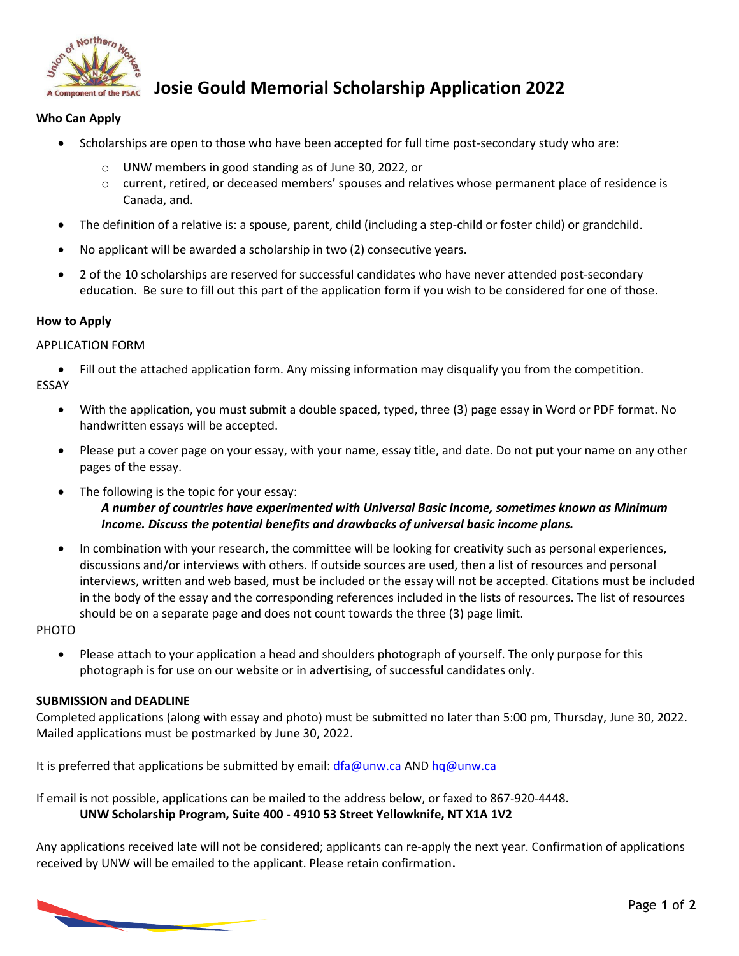

## **Josie Gould Memorial Scholarship Application 2022**

### **Who Can Apply**

- Scholarships are open to those who have been accepted for full time post-secondary study who are:
	- o UNW members in good standing as of June 30, 2022, or
	- o current, retired, or deceased members' spouses and relatives whose permanent place of residence is Canada, and.
- The definition of a relative is: a spouse, parent, child (including a step-child or foster child) or grandchild.
- No applicant will be awarded a scholarship in two (2) consecutive years.
- 2 of the 10 scholarships are reserved for successful candidates who have never attended post-secondary education. Be sure to fill out this part of the application form if you wish to be considered for one of those.

#### **How to Apply**

#### APPLICATION FORM

• Fill out the attached application form. Any missing information may disqualify you from the competition. ESSAY

- With the application, you must submit a double spaced, typed, three (3) page essay in Word or PDF format. No handwritten essays will be accepted.
- Please put a cover page on your essay, with your name, essay title, and date. Do not put your name on any other pages of the essay.
- The following is the topic for your essay: *A number of countries have experimented with Universal Basic Income, sometimes known as Minimum Income. Discuss the potential benefits and drawbacks of universal basic income plans.*
- In combination with your research, the committee will be looking for creativity such as personal experiences, discussions and/or interviews with others. If outside sources are used, then a list of resources and personal interviews, written and web based, must be included or the essay will not be accepted. Citations must be included in the body of the essay and the corresponding references included in the lists of resources. The list of resources should be on a separate page and does not count towards the three (3) page limit.

#### PHOTO

• Please attach to your application a head and shoulders photograph of yourself. The only purpose for this photograph is for use on our website or in advertising, of successful candidates only.

#### **SUBMISSION and DEADLINE**

Completed applications (along with essay and photo) must be submitted no later than 5:00 pm, Thursday, June 30, 2022. Mailed applications must be postmarked by June 30, 2022.

It is preferred that applications be submitted by email:  $dfa@unw.ca$  AN[D hq@unw.ca](mailto:hq@unw.ca)

If email is not possible, applications can be mailed to the address below, or faxed to 867-920-4448. **UNW Scholarship Program, Suite 400 - 4910 53 Street Yellowknife, NT X1A 1V2**

Any applications received late will not be considered; applicants can re-apply the next year. Confirmation of applications received by UNW will be emailed to the applicant. Please retain confirmation.